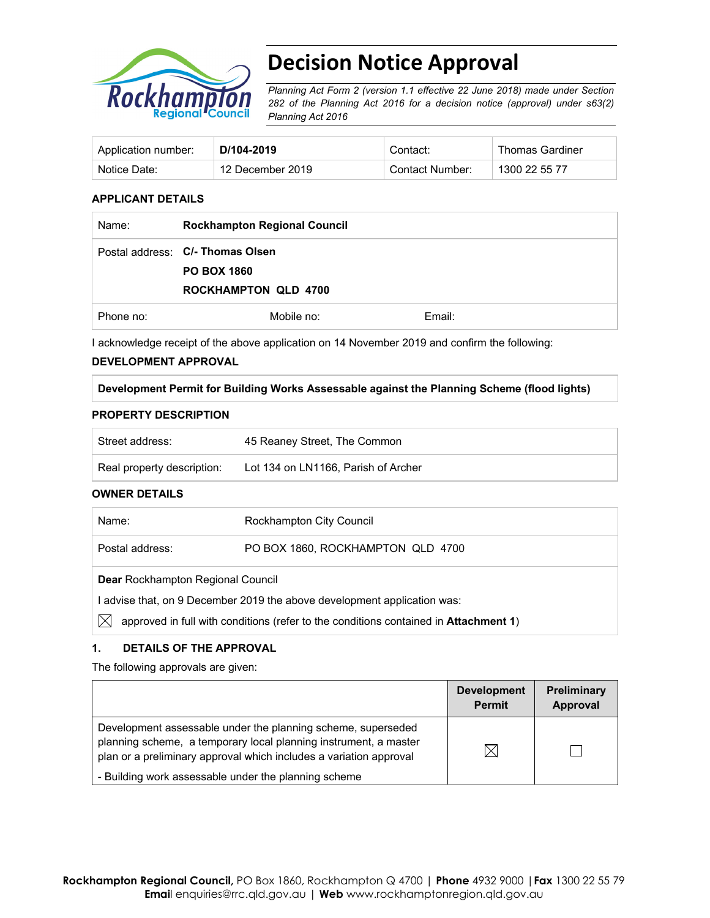

# **Decision Notice Approval**

*Planning Act Form 2 (version 1.1 effective 22 June 2018) made under Section 282 of the Planning Act 2016 for a decision notice (approval) under s63(2) Planning Act 2016*

| Application number: | D/104-2019       | Contact:        | <b>Thomas Gardiner</b> |
|---------------------|------------------|-----------------|------------------------|
| Notice Date:        | 12 December 2019 | Contact Number: | 1300 22 55 77          |

# **APPLICANT DETAILS**

| Name:     | <b>Rockhampton Regional Council</b>                    |        |
|-----------|--------------------------------------------------------|--------|
|           | Postal address: C/- Thomas Olsen<br><b>PO BOX 1860</b> |        |
|           | <b>ROCKHAMPTON QLD 4700</b>                            |        |
| Phone no: | Mobile no:                                             | Email: |

I acknowledge receipt of the above application on 14 November 2019 and confirm the following:

## **DEVELOPMENT APPROVAL**

**Development Permit for Building Works Assessable against the Planning Scheme (flood lights)** 

#### **PROPERTY DESCRIPTION**

| Street address:            | 45 Reaney Street, The Common        |
|----------------------------|-------------------------------------|
| Real property description: | Lot 134 on LN1166. Parish of Archer |

# **OWNER DETAILS**

| Name:                                                                                      | Rockhampton City Council          |  |  |  |
|--------------------------------------------------------------------------------------------|-----------------------------------|--|--|--|
| Postal address:                                                                            | PO BOX 1860, ROCKHAMPTON QLD 4700 |  |  |  |
| <b>Dear Rockhampton Regional Council</b>                                                   |                                   |  |  |  |
| I advise that, on 9 December 2019 the above development application was:                   |                                   |  |  |  |
| IХ<br>approved in full with conditions (refer to the conditions contained in Attachment 1) |                                   |  |  |  |

# **1. DETAILS OF THE APPROVAL**

The following approvals are given:

|                                                                                                                                                                                                        | <b>Development</b><br><b>Permit</b> | <b>Preliminary</b><br>Approval |
|--------------------------------------------------------------------------------------------------------------------------------------------------------------------------------------------------------|-------------------------------------|--------------------------------|
| Development assessable under the planning scheme, superseded<br>planning scheme, a temporary local planning instrument, a master<br>plan or a preliminary approval which includes a variation approval | IX                                  |                                |
| - Building work assessable under the planning scheme                                                                                                                                                   |                                     |                                |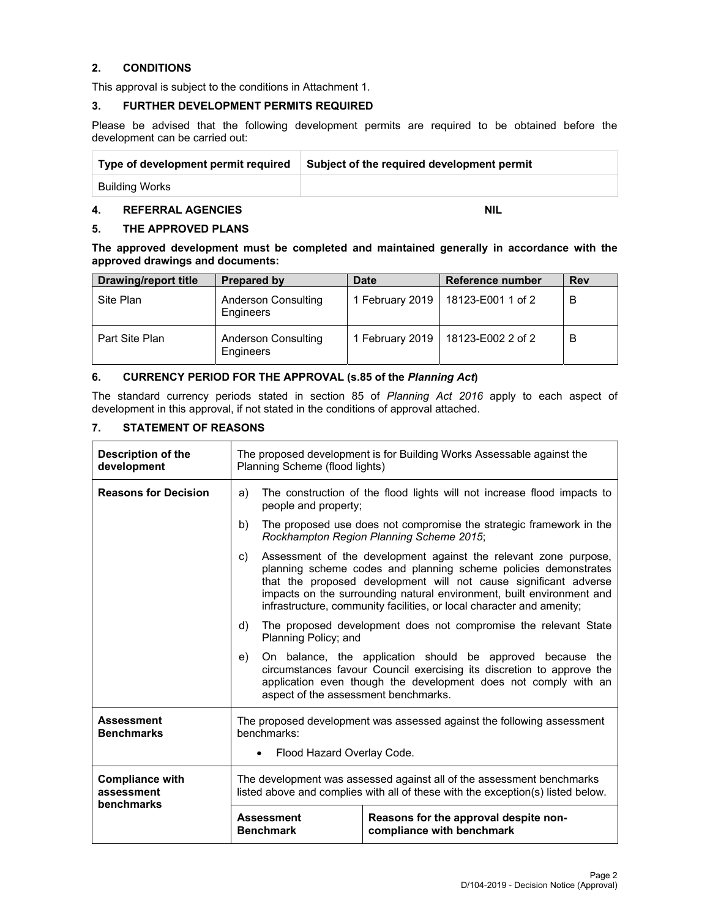# **2. CONDITIONS**

This approval is subject to the conditions in Attachment 1.

# **3. FURTHER DEVELOPMENT PERMITS REQUIRED**

Please be advised that the following development permits are required to be obtained before the development can be carried out:

| Type of development permit required | Subject of the required development permit |
|-------------------------------------|--------------------------------------------|
| Building Works                      |                                            |

# **4. REFERRAL AGENCIES** NIL

# **5. THE APPROVED PLANS**

**The approved development must be completed and maintained generally in accordance with the approved drawings and documents:** 

| <b>Drawing/report title</b> | <b>Prepared by</b>                      | <b>Date</b>     | Reference number  | <b>Rev</b> |
|-----------------------------|-----------------------------------------|-----------------|-------------------|------------|
| Site Plan                   | <b>Anderson Consulting</b><br>Engineers | 1 February 2019 | 18123-E001 1 of 2 | B          |
| Part Site Plan              | <b>Anderson Consulting</b><br>Engineers | 1 February 2019 | 18123-E002 2 of 2 | B          |

# **6. CURRENCY PERIOD FOR THE APPROVAL (s.85 of the** *Planning Act***)**

The standard currency periods stated in section 85 of *Planning Act 2016* apply to each aspect of development in this approval, if not stated in the conditions of approval attached.

# **7. STATEMENT OF REASONS**

| Description of the<br>development                  | The proposed development is for Building Works Assessable against the<br>Planning Scheme (flood lights)                                                  |                                                                                                                                                                                                                                                                                                                                                           |  |  |
|----------------------------------------------------|----------------------------------------------------------------------------------------------------------------------------------------------------------|-----------------------------------------------------------------------------------------------------------------------------------------------------------------------------------------------------------------------------------------------------------------------------------------------------------------------------------------------------------|--|--|
| <b>Reasons for Decision</b>                        | a)                                                                                                                                                       | The construction of the flood lights will not increase flood impacts to<br>people and property;                                                                                                                                                                                                                                                           |  |  |
|                                                    | b)                                                                                                                                                       | The proposed use does not compromise the strategic framework in the<br>Rockhampton Region Planning Scheme 2015;                                                                                                                                                                                                                                           |  |  |
|                                                    | C)                                                                                                                                                       | Assessment of the development against the relevant zone purpose,<br>planning scheme codes and planning scheme policies demonstrates<br>that the proposed development will not cause significant adverse<br>impacts on the surrounding natural environment, built environment and<br>infrastructure, community facilities, or local character and amenity; |  |  |
|                                                    | d)                                                                                                                                                       | The proposed development does not compromise the relevant State<br>Planning Policy; and                                                                                                                                                                                                                                                                   |  |  |
|                                                    | e)<br>aspect of the assessment benchmarks.                                                                                                               | On balance, the application should be approved because<br>the<br>circumstances favour Council exercising its discretion to approve the<br>application even though the development does not comply with an                                                                                                                                                 |  |  |
| <b>Assessment</b><br><b>Benchmarks</b>             | The proposed development was assessed against the following assessment<br>benchmarks:<br>Flood Hazard Overlay Code.                                      |                                                                                                                                                                                                                                                                                                                                                           |  |  |
| <b>Compliance with</b><br>assessment<br>benchmarks | The development was assessed against all of the assessment benchmarks<br>listed above and complies with all of these with the exception(s) listed below. |                                                                                                                                                                                                                                                                                                                                                           |  |  |
|                                                    | Reasons for the approval despite non-<br><b>Assessment</b><br><b>Benchmark</b><br>compliance with benchmark                                              |                                                                                                                                                                                                                                                                                                                                                           |  |  |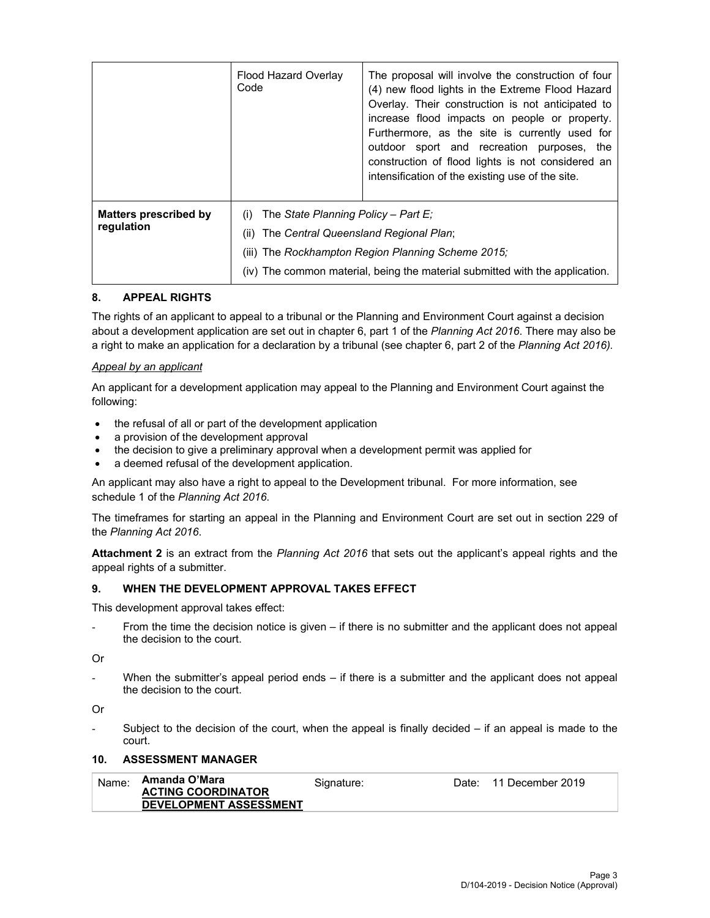|                                            | Flood Hazard Overlay<br>Code                       | The proposal will involve the construction of four<br>(4) new flood lights in the Extreme Flood Hazard<br>Overlay. Their construction is not anticipated to<br>increase flood impacts on people or property.<br>Furthermore, as the site is currently used for<br>outdoor sport and recreation purposes, the<br>construction of flood lights is not considered an<br>intensification of the existing use of the site. |  |
|--------------------------------------------|----------------------------------------------------|-----------------------------------------------------------------------------------------------------------------------------------------------------------------------------------------------------------------------------------------------------------------------------------------------------------------------------------------------------------------------------------------------------------------------|--|
| <b>Matters prescribed by</b><br>regulation | The State Planning Policy - Part E:<br>(i)<br>(ii) | The Central Queensland Regional Plan;<br>(iii) The Rockhampton Region Planning Scheme 2015;<br>(iv) The common material, being the material submitted with the application.                                                                                                                                                                                                                                           |  |

# **8. APPEAL RIGHTS**

The rights of an applicant to appeal to a tribunal or the Planning and Environment Court against a decision about a development application are set out in chapter 6, part 1 of the *Planning Act 2016*. There may also be a right to make an application for a declaration by a tribunal (see chapter 6, part 2 of the *Planning Act 2016).*

## *Appeal by an applicant*

An applicant for a development application may appeal to the Planning and Environment Court against the following:

- the refusal of all or part of the development application
- a provision of the development approval
- the decision to give a preliminary approval when a development permit was applied for
- a deemed refusal of the development application.

An applicant may also have a right to appeal to the Development tribunal. For more information, see schedule 1 of the *Planning Act 2016*.

The timeframes for starting an appeal in the Planning and Environment Court are set out in section 229 of the *Planning Act 2016*.

**Attachment 2** is an extract from the *Planning Act 2016* that sets out the applicant's appeal rights and the appeal rights of a submitter.

#### **9. WHEN THE DEVELOPMENT APPROVAL TAKES EFFECT**

This development approval takes effect:

From the time the decision notice is given – if there is no submitter and the applicant does not appeal the decision to the court.

Or

When the submitter's appeal period ends  $-$  if there is a submitter and the applicant does not appeal the decision to the court.

Or

Subject to the decision of the court, when the appeal is finally decided  $-$  if an appeal is made to the court.

#### **10. ASSESSMENT MANAGER**

| Name: | Amanda O'Mara                 | Signature: | Date: 11 December 2019 |
|-------|-------------------------------|------------|------------------------|
|       | <b>ACTING COORDINATOR</b>     |            |                        |
|       | <b>DEVELOPMENT ASSESSMENT</b> |            |                        |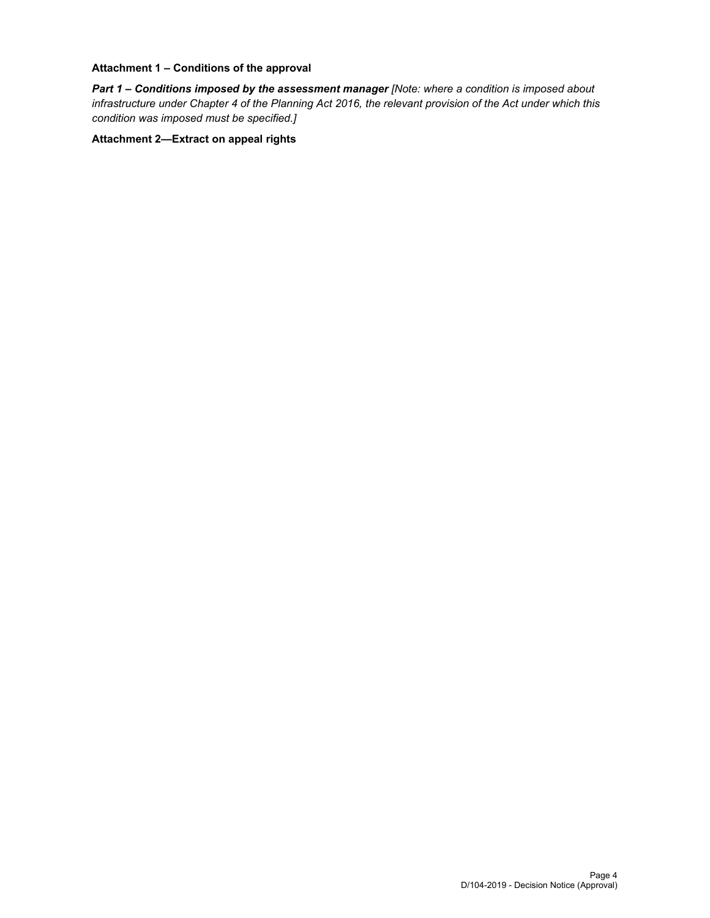# **Attachment 1 – Conditions of the approval**

*Part 1* **–** *Conditions imposed by the assessment manager [Note: where a condition is imposed about infrastructure under Chapter 4 of the Planning Act 2016, the relevant provision of the Act under which this condition was imposed must be specified.]*

# **Attachment 2—Extract on appeal rights**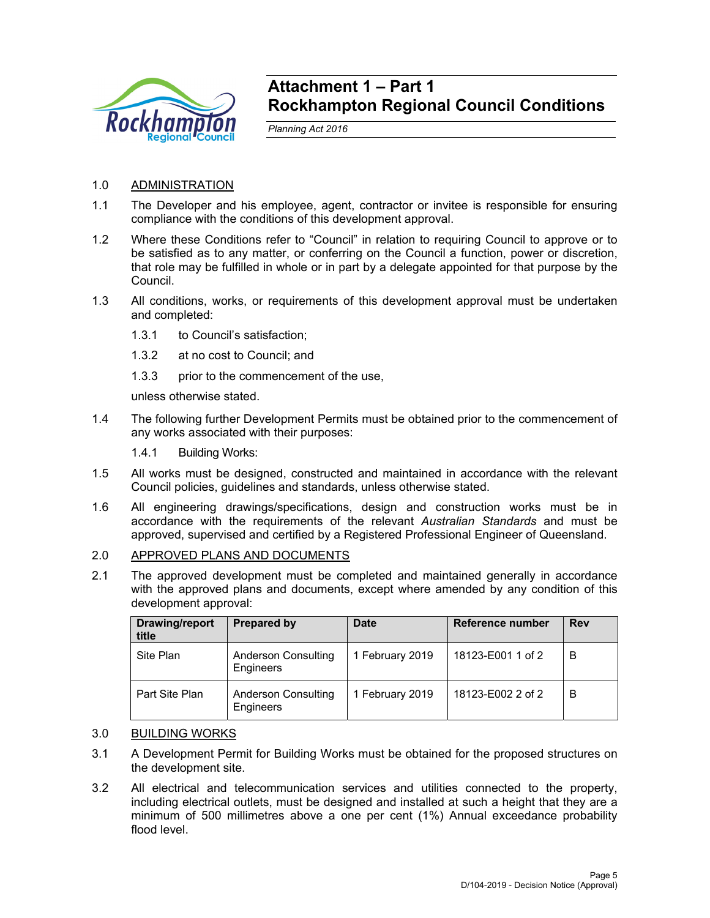

# **Attachment 1 – Part 1 Rockhampton Regional Council Conditions**

*Planning Act 2016* 

# 1.0 ADMINISTRATION

- 1.1 The Developer and his employee, agent, contractor or invitee is responsible for ensuring compliance with the conditions of this development approval.
- 1.2 Where these Conditions refer to "Council" in relation to requiring Council to approve or to be satisfied as to any matter, or conferring on the Council a function, power or discretion, that role may be fulfilled in whole or in part by a delegate appointed for that purpose by the Council.
- 1.3 All conditions, works, or requirements of this development approval must be undertaken and completed:
	- 1.3.1 to Council's satisfaction;
	- 1.3.2 at no cost to Council; and
	- 1.3.3 prior to the commencement of the use,

unless otherwise stated.

1.4 The following further Development Permits must be obtained prior to the commencement of any works associated with their purposes:

1.4.1 Building Works:

- 1.5 All works must be designed, constructed and maintained in accordance with the relevant Council policies, guidelines and standards, unless otherwise stated.
- 1.6 All engineering drawings/specifications, design and construction works must be in accordance with the requirements of the relevant *Australian Standards* and must be approved, supervised and certified by a Registered Professional Engineer of Queensland.

# 2.0 APPROVED PLANS AND DOCUMENTS

2.1 The approved development must be completed and maintained generally in accordance with the approved plans and documents, except where amended by any condition of this development approval:

| Drawing/report<br>title | Prepared by                                    | <b>Date</b>     | Reference number  | <b>Rev</b> |
|-------------------------|------------------------------------------------|-----------------|-------------------|------------|
| Site Plan               | <b>Anderson Consulting</b><br><b>Engineers</b> | 1 February 2019 | 18123-E001 1 of 2 | В          |
| Part Site Plan          | <b>Anderson Consulting</b><br>Engineers        | 1 February 2019 | 18123-E002 2 of 2 | В          |

# 3.0 BUILDING WORKS

- 3.1 A Development Permit for Building Works must be obtained for the proposed structures on the development site.
- 3.2 All electrical and telecommunication services and utilities connected to the property, including electrical outlets, must be designed and installed at such a height that they are a minimum of 500 millimetres above a one per cent (1%) Annual exceedance probability flood level.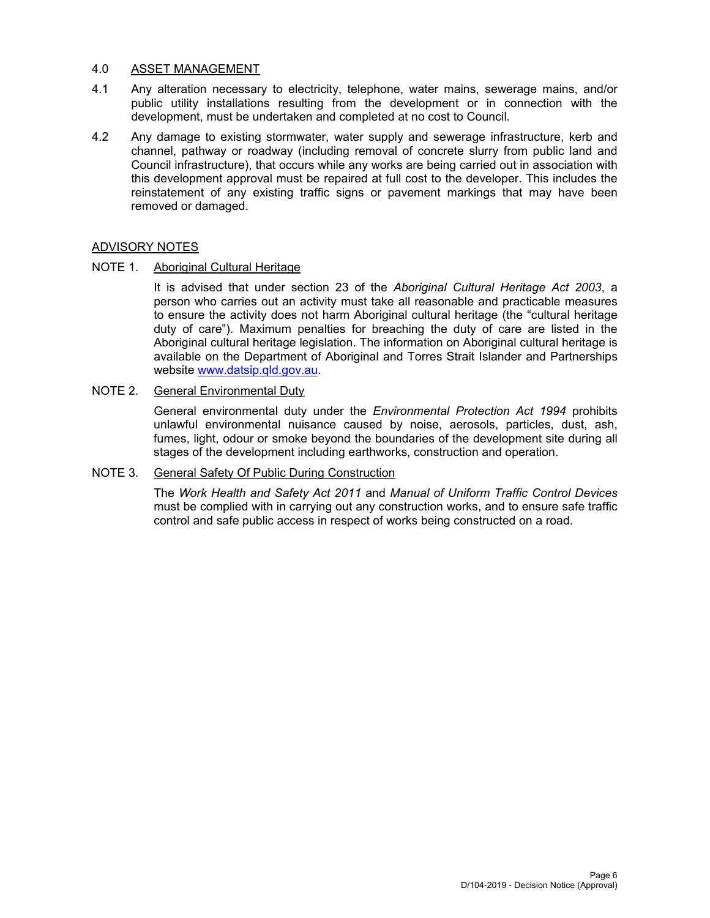# 4.0 ASSET MANAGEMENT

- 4.1 Any alteration necessary to electricity, telephone, water mains, sewerage mains, and/or public utility installations resulting from the development or in connection with the development, must be undertaken and completed at no cost to Council.
- 4.2 Any damage to existing stormwater, water supply and sewerage infrastructure, kerb and channel, pathway or roadway (including removal of concrete slurry from public land and Council infrastructure), that occurs while any works are being carried out in association with this development approval must be repaired at full cost to the developer. This includes the reinstatement of any existing traffic signs or pavement markings that may have been removed or damaged.

# ADVISORY NOTES

# NOTE 1. Aboriginal Cultural Heritage

It is advised that under section 23 of the *Aboriginal Cultural Heritage Act 2003*, a person who carries out an activity must take all reasonable and practicable measures to ensure the activity does not harm Aboriginal cultural heritage (the "cultural heritage duty of care"). Maximum penalties for breaching the duty of care are listed in the Aboriginal cultural heritage legislation. The information on Aboriginal cultural heritage is available on the Department of Aboriginal and Torres Strait Islander and Partnerships website www.datsip.qld.gov.au.

# NOTE 2. General Environmental Duty

General environmental duty under the *Environmental Protection Act 1994* prohibits unlawful environmental nuisance caused by noise, aerosols, particles, dust, ash, fumes, light, odour or smoke beyond the boundaries of the development site during all stages of the development including earthworks, construction and operation.

# NOTE 3. General Safety Of Public During Construction

The *Work Health and Safety Act 2011* and *Manual of Uniform Traffic Control Devices* must be complied with in carrying out any construction works, and to ensure safe traffic control and safe public access in respect of works being constructed on a road.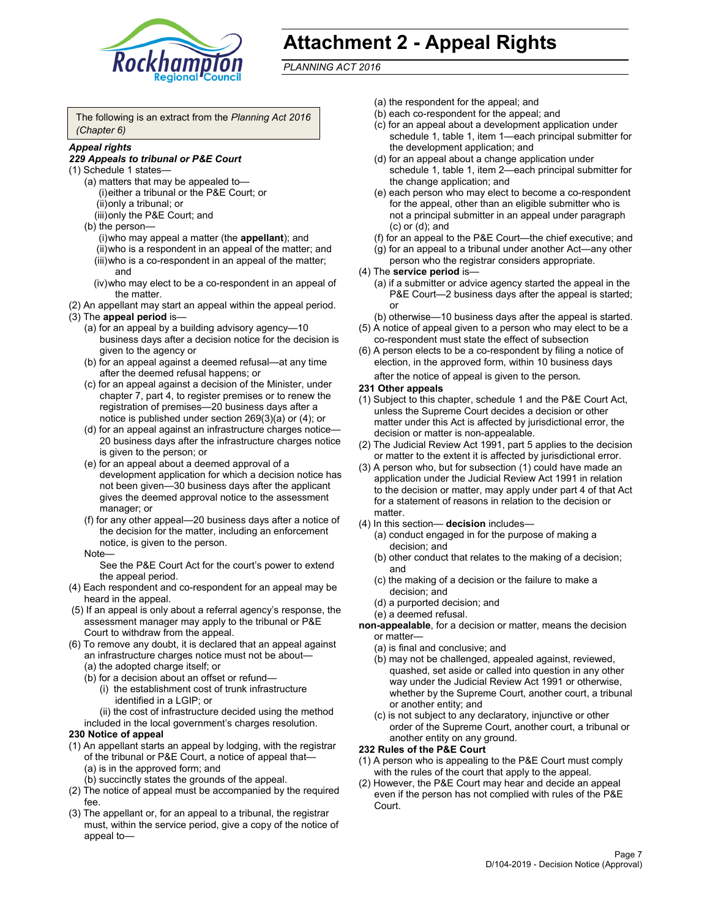

# **Attachment 2 - Appeal Rights**

*PLANNING ACT 2016*

The following is an extract from the *Planning Act 2016 (Chapter 6)*

# *Appeal rights*

#### *229 Appeals to tribunal or P&E Court*

- (1) Schedule 1 states—
	- (a) matters that may be appealed to— (i) either a tribunal or the P&E Court; or (ii) only a tribunal; or (iii) only the P&E Court; and
	- (b) the person—
		- (i) who may appeal a matter (the **appellant**); and
		- (ii) who is a respondent in an appeal of the matter; and (iii) who is a co-respondent in an appeal of the matter; and
		- (iv) who may elect to be a co-respondent in an appeal of the matter.
- (2) An appellant may start an appeal within the appeal period.
- (3) The **appeal period** is—
	- (a) for an appeal by a building advisory agency—10 business days after a decision notice for the decision is given to the agency or
	- (b) for an appeal against a deemed refusal—at any time after the deemed refusal happens; or
	- (c) for an appeal against a decision of the Minister, under chapter 7, part 4, to register premises or to renew the registration of premises—20 business days after a notice is published under section 269(3)(a) or (4); or
	- (d) for an appeal against an infrastructure charges notice— 20 business days after the infrastructure charges notice is given to the person; or
	- (e) for an appeal about a deemed approval of a development application for which a decision notice has not been given—30 business days after the applicant gives the deemed approval notice to the assessment manager; or
	- (f) for any other appeal—20 business days after a notice of the decision for the matter, including an enforcement notice, is given to the person.

#### Note—

See the P&E Court Act for the court's power to extend the appeal period.

- (4) Each respondent and co-respondent for an appeal may be heard in the appeal.
- (5) If an appeal is only about a referral agency's response, the assessment manager may apply to the tribunal or P&E Court to withdraw from the appeal.
- (6) To remove any doubt, it is declared that an appeal against an infrastructure charges notice must not be about— (a) the adopted charge itself; or
	- (b) for a decision about an offset or refund—
		- (i) the establishment cost of trunk infrastructure identified in a LGIP; or
		- (ii) the cost of infrastructure decided using the method
	- included in the local government's charges resolution.

# **230 Notice of appeal**

- (1) An appellant starts an appeal by lodging, with the registrar of the tribunal or P&E Court, a notice of appeal that— (a) is in the approved form; and
	- (b) succinctly states the grounds of the appeal.
- (2) The notice of appeal must be accompanied by the required fee.
- (3) The appellant or, for an appeal to a tribunal, the registrar must, within the service period, give a copy of the notice of appeal to—
- (a) the respondent for the appeal; and
- (b) each co-respondent for the appeal; and
- (c) for an appeal about a development application under schedule 1, table 1, item 1—each principal submitter for the development application; and
- (d) for an appeal about a change application under schedule 1, table 1, item 2—each principal submitter for the change application; and
- (e) each person who may elect to become a co-respondent for the appeal, other than an eligible submitter who is not a principal submitter in an appeal under paragraph (c) or (d); and
- (f) for an appeal to the P&E Court—the chief executive; and
- (g) for an appeal to a tribunal under another Act—any other person who the registrar considers appropriate.
- (4) The **service period** is—
	- (a) if a submitter or advice agency started the appeal in the P&E Court-2 business days after the appeal is started; or
	- (b) otherwise—10 business days after the appeal is started.
- (5) A notice of appeal given to a person who may elect to be a co-respondent must state the effect of subsection
- (6) A person elects to be a co-respondent by filing a notice of election, in the approved form, within 10 business days
	- after the notice of appeal is given to the person*.*
- **231 Other appeals**
- (1) Subject to this chapter, schedule 1 and the P&E Court Act, unless the Supreme Court decides a decision or other matter under this Act is affected by jurisdictional error, the decision or matter is non-appealable.
- (2) The Judicial Review Act 1991, part 5 applies to the decision or matter to the extent it is affected by jurisdictional error.
- (3) A person who, but for subsection (1) could have made an application under the Judicial Review Act 1991 in relation to the decision or matter, may apply under part 4 of that Act for a statement of reasons in relation to the decision or matter.
- (4) In this section— **decision** includes—
	- (a) conduct engaged in for the purpose of making a decision; and
	- (b) other conduct that relates to the making of a decision; and
	- (c) the making of a decision or the failure to make a decision; and
	- (d) a purported decision; and
	- (e) a deemed refusal.

**non-appealable**, for a decision or matter, means the decision or matter—

- (a) is final and conclusive; and
- (b) may not be challenged, appealed against, reviewed, quashed, set aside or called into question in any other way under the Judicial Review Act 1991 or otherwise, whether by the Supreme Court, another court, a tribunal or another entity; and
- (c) is not subject to any declaratory, injunctive or other order of the Supreme Court, another court, a tribunal or another entity on any ground.

#### **232 Rules of the P&E Court**

- (1) A person who is appealing to the P&E Court must comply with the rules of the court that apply to the appeal.
- (2) However, the P&E Court may hear and decide an appeal even if the person has not complied with rules of the P&E Court.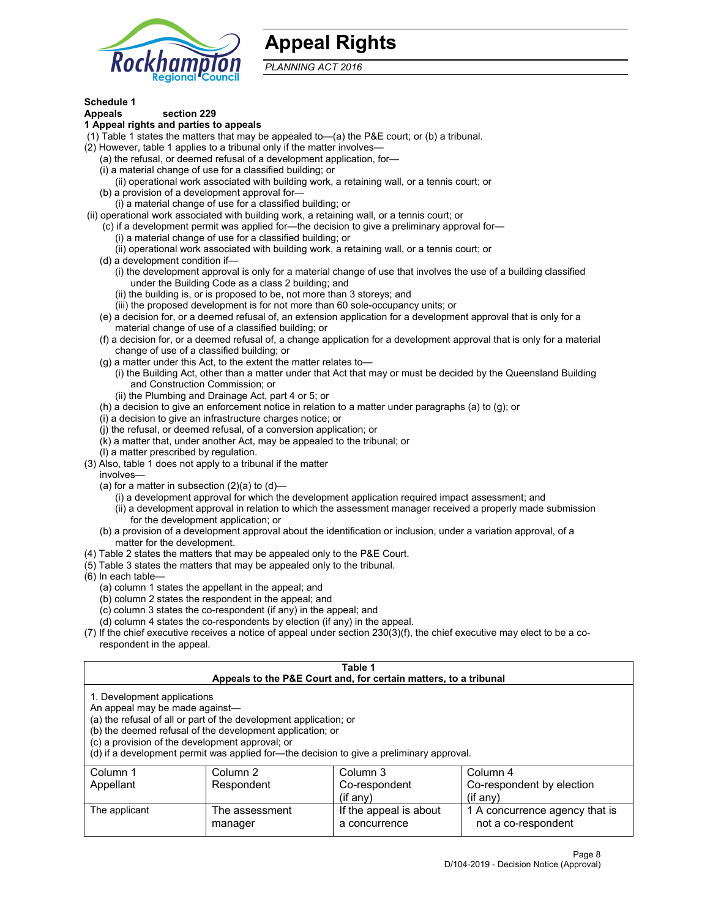

# **Appeal Rights**

*PLANNING ACT 2016*

# **Schedule 1**

# **Appeals section 229**

- **1 Appeal rights and parties to appeals**
- (1) Table 1 states the matters that may be appealed to—(a) the P&E court; or (b) a tribunal.
- (2) However, table 1 applies to a tribunal only if the matter involves—
	- (a) the refusal, or deemed refusal of a development application, for—
	- (i) a material change of use for a classified building; or
	- (ii) operational work associated with building work, a retaining wall, or a tennis court; or
	- (b) a provision of a development approval for—
	- (i) a material change of use for a classified building; or
- (ii) operational work associated with building work, a retaining wall, or a tennis court; or
	- (c) if a development permit was applied for—the decision to give a preliminary approval for—
		- (i) a material change of use for a classified building; or (ii) operational work associated with building work, a retaining wall, or a tennis court; or
	- (d) a development condition if—
		- (i) the development approval is only for a material change of use that involves the use of a building classified under the Building Code as a class 2 building; and
		- (ii) the building is, or is proposed to be, not more than 3 storeys; and
		- (iii) the proposed development is for not more than 60 sole-occupancy units; or
	- (e) a decision for, or a deemed refusal of, an extension application for a development approval that is only for a material change of use of a classified building; or
	- (f) a decision for, or a deemed refusal of, a change application for a development approval that is only for a material change of use of a classified building; or
	- (g) a matter under this Act, to the extent the matter relates to—
		- (i) the Building Act, other than a matter under that Act that may or must be decided by the Queensland Building and Construction Commission; or
		- (ii) the Plumbing and Drainage Act, part 4 or 5; or
	- (h) a decision to give an enforcement notice in relation to a matter under paragraphs (a) to (g); or
	- (i) a decision to give an infrastructure charges notice; or
	- (j) the refusal, or deemed refusal, of a conversion application; or
	- (k) a matter that, under another Act, may be appealed to the tribunal; or
	- (l) a matter prescribed by regulation.
- (3) Also, table 1 does not apply to a tribunal if the matter
	- involves—
		- (a) for a matter in subsection  $(2)(a)$  to  $(d)$ 
			- (i) a development approval for which the development application required impact assessment; and
			- (ii) a development approval in relation to which the assessment manager received a properly made submission for the development application; or
	- (b) a provision of a development approval about the identification or inclusion, under a variation approval, of a matter for the development.
- (4) Table 2 states the matters that may be appealed only to the P&E Court.
- (5) Table 3 states the matters that may be appealed only to the tribunal.
- (6) In each table—
	- (a) column 1 states the appellant in the appeal; and
	- (b) column 2 states the respondent in the appeal; and
	- (c) column 3 states the co-respondent (if any) in the appeal; and
	- (d) column 4 states the co-respondents by election (if any) in the appeal.
- (7) If the chief executive receives a notice of appeal under section 230(3)(f), the chief executive may elect to be a corespondent in the appeal.

| Table 1<br>Appeals to the P&E Court and, for certain matters, to a tribunal                                      |                                                                                                                                |                                                                                          |                                                       |  |
|------------------------------------------------------------------------------------------------------------------|--------------------------------------------------------------------------------------------------------------------------------|------------------------------------------------------------------------------------------|-------------------------------------------------------|--|
| 1. Development applications<br>An appeal may be made against-<br>(c) a provision of the development approval; or | (a) the refusal of all or part of the development application; or<br>(b) the deemed refusal of the development application; or | (d) if a development permit was applied for—the decision to give a preliminary approval. |                                                       |  |
| Column 1                                                                                                         | Column 2                                                                                                                       | Column 3                                                                                 | Column 4                                              |  |
| Appellant                                                                                                        | Respondent                                                                                                                     | Co-respondent<br>$(f \text{ any})$                                                       | Co-respondent by election<br>$(if$ any)               |  |
| The applicant                                                                                                    | The assessment<br>manager                                                                                                      | If the appeal is about<br>a concurrence                                                  | 1 A concurrence agency that is<br>not a co-respondent |  |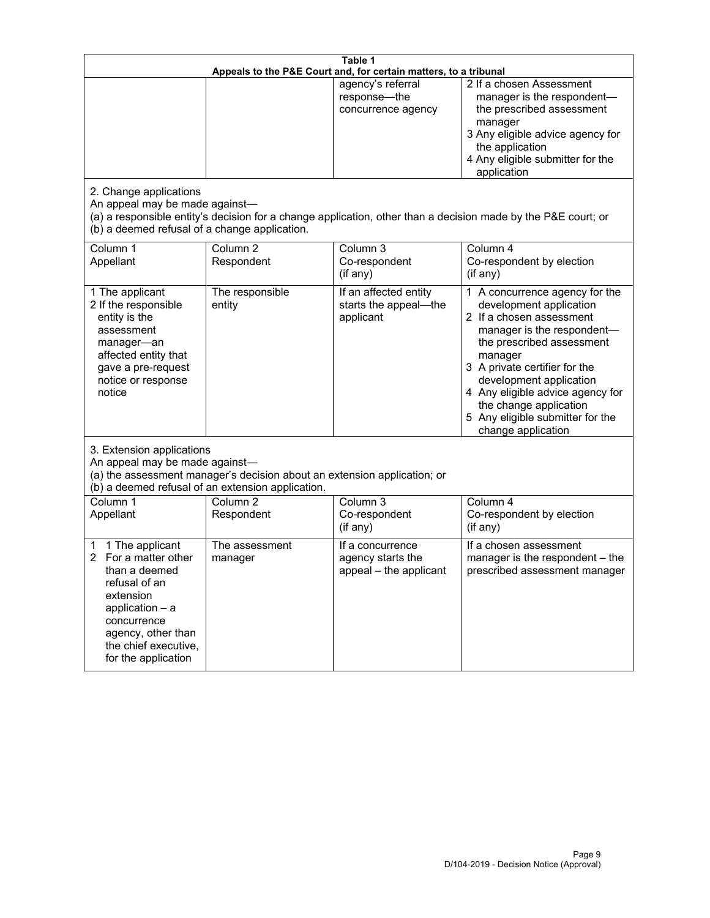| Table 1<br>Appeals to the P&E Court and, for certain matters, to a tribunal                                                                                                                        |                                     |                                                                 |                                                                                                                                                                                                                                                                                                                                                 |  |
|----------------------------------------------------------------------------------------------------------------------------------------------------------------------------------------------------|-------------------------------------|-----------------------------------------------------------------|-------------------------------------------------------------------------------------------------------------------------------------------------------------------------------------------------------------------------------------------------------------------------------------------------------------------------------------------------|--|
| 2. Change applications<br>An appeal may be made against-                                                                                                                                           |                                     | agency's referral<br>response-the<br>concurrence agency         | 2 If a chosen Assessment<br>manager is the respondent-<br>the prescribed assessment<br>manager<br>3 Any eligible advice agency for<br>the application<br>4 Any eligible submitter for the<br>application<br>(a) a responsible entity's decision for a change application, other than a decision made by the P&E court; or                       |  |
| (b) a deemed refusal of a change application.<br>Column 1<br>Appellant                                                                                                                             | Column $\overline{2}$<br>Respondent | Column 3<br>Co-respondent<br>(if any)                           | Column 4<br>Co-respondent by election<br>(if any)                                                                                                                                                                                                                                                                                               |  |
| 1 The applicant<br>2 If the responsible<br>entity is the<br>assessment<br>manager-an<br>affected entity that<br>gave a pre-request<br>notice or response<br>notice                                 | The responsible<br>entity           | If an affected entity<br>starts the appeal-the<br>applicant     | 1 A concurrence agency for the<br>development application<br>2 If a chosen assessment<br>manager is the respondent-<br>the prescribed assessment<br>manager<br>3 A private certifier for the<br>development application<br>4 Any eligible advice agency for<br>the change application<br>5 Any eligible submitter for the<br>change application |  |
| 3. Extension applications<br>An appeal may be made against-<br>(a) the assessment manager's decision about an extension application; or<br>(b) a deemed refusal of an extension application.       |                                     |                                                                 |                                                                                                                                                                                                                                                                                                                                                 |  |
| Column 1<br>Appellant                                                                                                                                                                              | Column <sub>2</sub><br>Respondent   | Column 3<br>Co-respondent<br>(if any)                           | Column 4<br>Co-respondent by election<br>(if any)                                                                                                                                                                                                                                                                                               |  |
| 1 The applicant<br>1<br>For a matter other<br>than a deemed<br>refusal of an<br>extension<br>application $-$ a<br>concurrence<br>agency, other than<br>the chief executive,<br>for the application | The assessment<br>manager           | If a concurrence<br>agency starts the<br>appeal - the applicant | If a chosen assessment<br>manager is the respondent - the<br>prescribed assessment manager                                                                                                                                                                                                                                                      |  |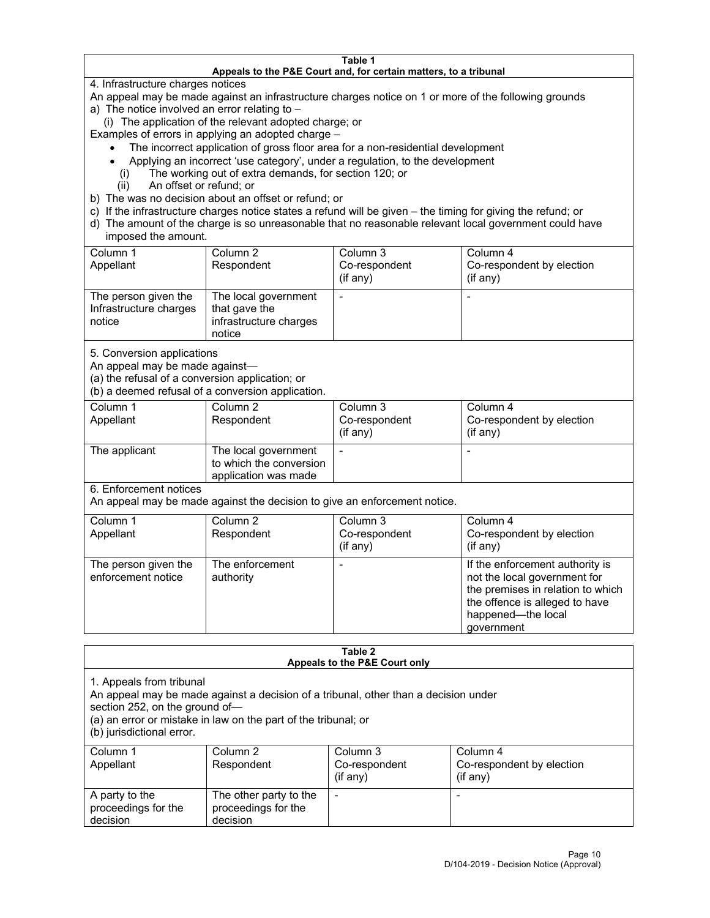#### **Table 1 Appeals to the P&E Court and, for certain matters, to a tribunal**

4. Infrastructure charges notices

An appeal may be made against an infrastructure charges notice on 1 or more of the following grounds

- a) The notice involved an error relating to
	- (i) The application of the relevant adopted charge; or

Examples of errors in applying an adopted charge –

- The incorrect application of gross floor area for a non-residential development
- Applying an incorrect 'use category', under a regulation, to the development
- (i) The working out of extra demands, for section 120; or
- (ii) An offset or refund; or
- b) The was no decision about an offset or refund; or
- c) If the infrastructure charges notice states a refund will be given the timing for giving the refund; or
- d) The amount of the charge is so unreasonable that no reasonable relevant local government could have imposed the amount.

| Column 1<br>Appellant                                    | Column 2<br>Respondent                                                    | Column 3<br>Co-respondent<br>(i f any) | Column 4<br>Co-respondent by election<br>(i f any) |
|----------------------------------------------------------|---------------------------------------------------------------------------|----------------------------------------|----------------------------------------------------|
| The person given the<br>Infrastructure charges<br>notice | The local government<br>that gave the<br>infrastructure charges<br>notice |                                        |                                                    |

5. Conversion applications

An appeal may be made against—

(a) the refusal of a conversion application; or

(b) a deemed refusal of a conversion application.

| Column 1      | Column 2                | Column 3       | Column 4                  |
|---------------|-------------------------|----------------|---------------------------|
| Appellant     | Respondent              | Co-respondent  | Co-respondent by election |
|               |                         | $($ if any $)$ | $(if$ any)                |
|               |                         |                |                           |
| The applicant | The local government    |                |                           |
|               | to which the conversion |                |                           |
|               | application was made    |                |                           |

6. Enforcement notices

An appeal may be made against the decision to give an enforcement notice.

| Column 1<br>Appellant                      | Column 2<br>Respondent       | Column 3<br>Co-respondent<br>(if any) | Column 4<br>Co-respondent by election<br>(i f any)                                                                                                                         |
|--------------------------------------------|------------------------------|---------------------------------------|----------------------------------------------------------------------------------------------------------------------------------------------------------------------------|
| The person given the<br>enforcement notice | The enforcement<br>authority |                                       | If the enforcement authority is<br>not the local government for<br>the premises in relation to which<br>the offence is alleged to have<br>happened-the local<br>government |

#### **Table 2 Appeals to the P&E Court only**

1. Appeals from tribunal

An appeal may be made against a decision of a tribunal, other than a decision under

section 252, on the ground of—

(a) an error or mistake in law on the part of the tribunal; or

(b) jurisdictional error.

| Column 1<br>Appellant                             | Column 2<br>Respondent                                    | Column 3<br>Co-respondent<br>$(if$ any) | Column 4<br>Co-respondent by election<br>$(if$ any) |
|---------------------------------------------------|-----------------------------------------------------------|-----------------------------------------|-----------------------------------------------------|
| A party to the<br>proceedings for the<br>decision | The other party to the<br>proceedings for the<br>decision | $\overline{\phantom{0}}$                |                                                     |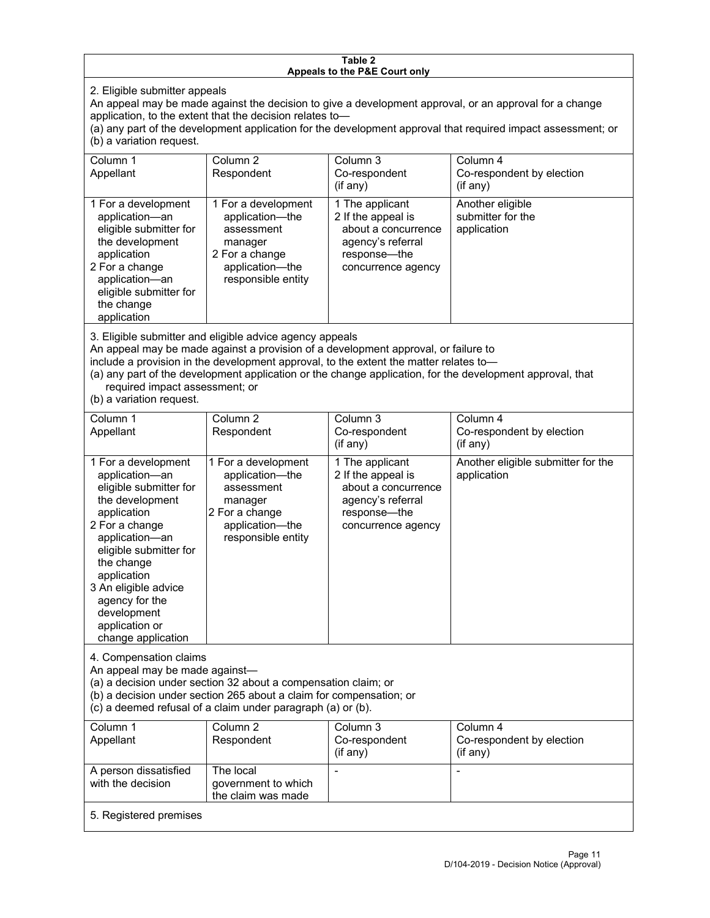#### **Table 2 Appeals to the P&E Court only**

2. Eligible submitter appeals

An appeal may be made against the decision to give a development approval, or an approval for a change application, to the extent that the decision relates to—

(a) any part of the development application for the development approval that required impact assessment; or (b) a variation request.

| Column 1<br>Appellant                                                                                                                                                                        | Column 2<br>Respondent                                                                                                     | Column 3<br>Co-respondent<br>$(i$ f any $)$                                                                             | Column 4<br>Co-respondent by election<br>(if any)    |
|----------------------------------------------------------------------------------------------------------------------------------------------------------------------------------------------|----------------------------------------------------------------------------------------------------------------------------|-------------------------------------------------------------------------------------------------------------------------|------------------------------------------------------|
| 1 For a development<br>application-an<br>eligible submitter for<br>the development<br>application<br>2 For a change<br>application-an<br>eligible submitter for<br>the change<br>application | 1 For a development<br>application-the<br>assessment<br>manager<br>2 For a change<br>application-the<br>responsible entity | 1 The applicant<br>2 If the appeal is<br>about a concurrence<br>agency's referral<br>response—the<br>concurrence agency | Another eligible<br>submitter for the<br>application |

3. Eligible submitter and eligible advice agency appeals

An appeal may be made against a provision of a development approval, or failure to

include a provision in the development approval, to the extent the matter relates to—

(a) any part of the development application or the change application, for the development approval, that required impact assessment; or

(b) a variation request.

| Column 1<br>Appellant                                                                                                                                                                                                                                                                         | Column <sub>2</sub><br>Respondent                                                                                          | Column 3<br>Co-respondent<br>(if any)                                                                                     | Column 4<br>Co-respondent by election<br>(if any) |
|-----------------------------------------------------------------------------------------------------------------------------------------------------------------------------------------------------------------------------------------------------------------------------------------------|----------------------------------------------------------------------------------------------------------------------------|---------------------------------------------------------------------------------------------------------------------------|---------------------------------------------------|
| 1 For a development<br>application-an<br>eligible submitter for<br>the development<br>application<br>2 For a change<br>application-an<br>eligible submitter for<br>the change<br>application<br>3 An eligible advice<br>agency for the<br>development<br>application or<br>change application | 1 For a development<br>application-the<br>assessment<br>manager<br>2 For a change<br>application-the<br>responsible entity | 1 The applicant<br>2 If the appeal is<br>about a concurrence<br>agency's referral<br>response---the<br>concurrence agency | Another eligible submitter for the<br>application |
| 4. Compensation claims<br>An appeal may be made against-<br>(a) a decision under section 32 about a compensation claim; or<br>(b) a decision under section 265 about a claim for compensation; or<br>(c) a deemed refusal of a claim under paragraph (a) or (b).                              |                                                                                                                            |                                                                                                                           |                                                   |
| Column <sub>1</sub><br>Appellant                                                                                                                                                                                                                                                              | Column <sub>2</sub><br>Respondent                                                                                          | Column 3<br>Co-respondent<br>(if any)                                                                                     | Column 4<br>Co-respondent by election<br>(if any) |
| A person dissatisfied<br>with the decision                                                                                                                                                                                                                                                    | The local<br>government to which<br>the claim was made                                                                     |                                                                                                                           |                                                   |
| 5. Registered premises                                                                                                                                                                                                                                                                        |                                                                                                                            |                                                                                                                           |                                                   |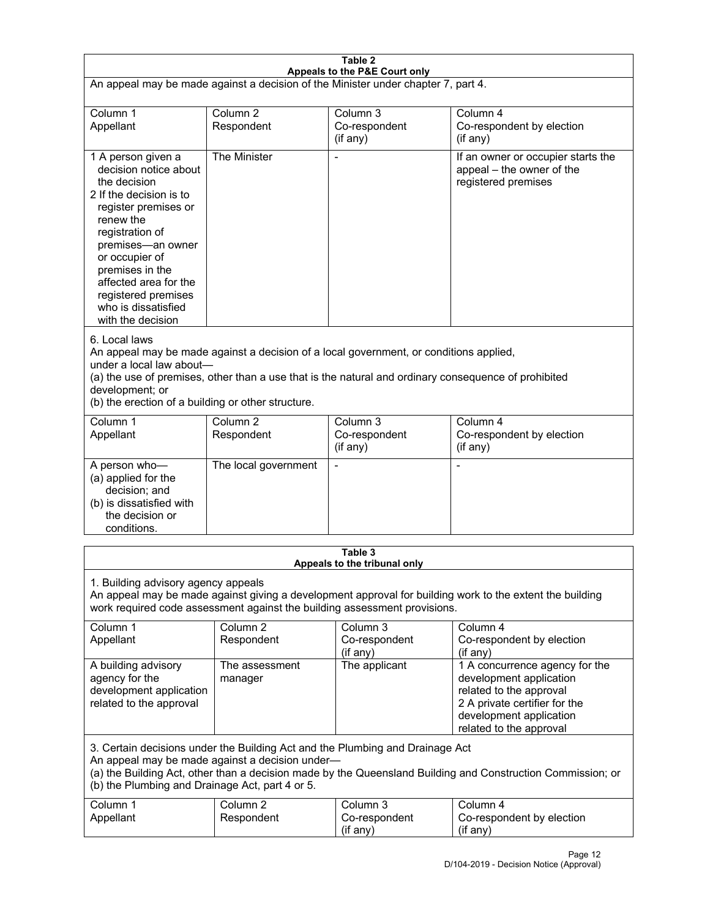| Table 2<br>Appeals to the P&E Court only                                                                                                                                                                                                                                                                             |                                   |                                         |                                                                                                                                                                             |  |
|----------------------------------------------------------------------------------------------------------------------------------------------------------------------------------------------------------------------------------------------------------------------------------------------------------------------|-----------------------------------|-----------------------------------------|-----------------------------------------------------------------------------------------------------------------------------------------------------------------------------|--|
| An appeal may be made against a decision of the Minister under chapter 7, part 4.                                                                                                                                                                                                                                    |                                   |                                         |                                                                                                                                                                             |  |
| Column 1<br>Appellant                                                                                                                                                                                                                                                                                                | Column <sub>2</sub><br>Respondent | Column 3<br>Co-respondent<br>(if any)   | Column 4<br>Co-respondent by election<br>(if any)                                                                                                                           |  |
| 1 A person given a<br>decision notice about<br>the decision<br>2 If the decision is to<br>register premises or<br>renew the<br>registration of<br>premises-an owner<br>or occupier of<br>premises in the<br>affected area for the<br>registered premises<br>who is dissatisfied<br>with the decision                 | The Minister                      | Ĭ.                                      | If an owner or occupier starts the<br>appeal - the owner of the<br>registered premises                                                                                      |  |
| 6. Local laws<br>An appeal may be made against a decision of a local government, or conditions applied,<br>under a local law about-<br>(a) the use of premises, other than a use that is the natural and ordinary consequence of prohibited<br>development; or<br>(b) the erection of a building or other structure. |                                   |                                         |                                                                                                                                                                             |  |
| Column 1<br>Appellant                                                                                                                                                                                                                                                                                                | Column <sub>2</sub><br>Respondent | Column 3<br>Co-respondent<br>(if any)   | Column 4<br>Co-respondent by election<br>(if any)                                                                                                                           |  |
| A person who-<br>(a) applied for the<br>decision; and<br>(b) is dissatisfied with<br>the decision or<br>conditions.                                                                                                                                                                                                  | The local government              | L,                                      | $\overline{a}$                                                                                                                                                              |  |
|                                                                                                                                                                                                                                                                                                                      |                                   | Table 3<br>Appeals to the tribunal only |                                                                                                                                                                             |  |
| 1. Building advisory agency appeals<br>An appeal may be made against giving a development approval for building work to the extent the building<br>work required code assessment against the building assessment provisions.                                                                                         |                                   |                                         |                                                                                                                                                                             |  |
| Column 1<br>Appellant                                                                                                                                                                                                                                                                                                | Column <sub>2</sub><br>Respondent | Column 3<br>Co-respondent<br>(if any)   | Column 4<br>Co-respondent by election<br>(if any)                                                                                                                           |  |
| A building advisory<br>agency for the<br>development application<br>related to the approval                                                                                                                                                                                                                          | The assessment<br>manager         | The applicant                           | 1 A concurrence agency for the<br>development application<br>related to the approval<br>2 A private certifier for the<br>development application<br>related to the approval |  |
| 3. Certain decisions under the Building Act and the Plumbing and Drainage Act<br>An appeal may be made against a decision under-<br>(a) the Building Act, other than a decision made by the Queensland Building and Construction Commission; or<br>(b) the Plumbing and Drainage Act, part 4 or 5.                   |                                   |                                         |                                                                                                                                                                             |  |
| Column 1<br>Appellant                                                                                                                                                                                                                                                                                                | Column <sub>2</sub><br>Respondent | Column 3<br>Co-respondent<br>(if any)   | Column 4<br>Co-respondent by election<br>(if any)                                                                                                                           |  |